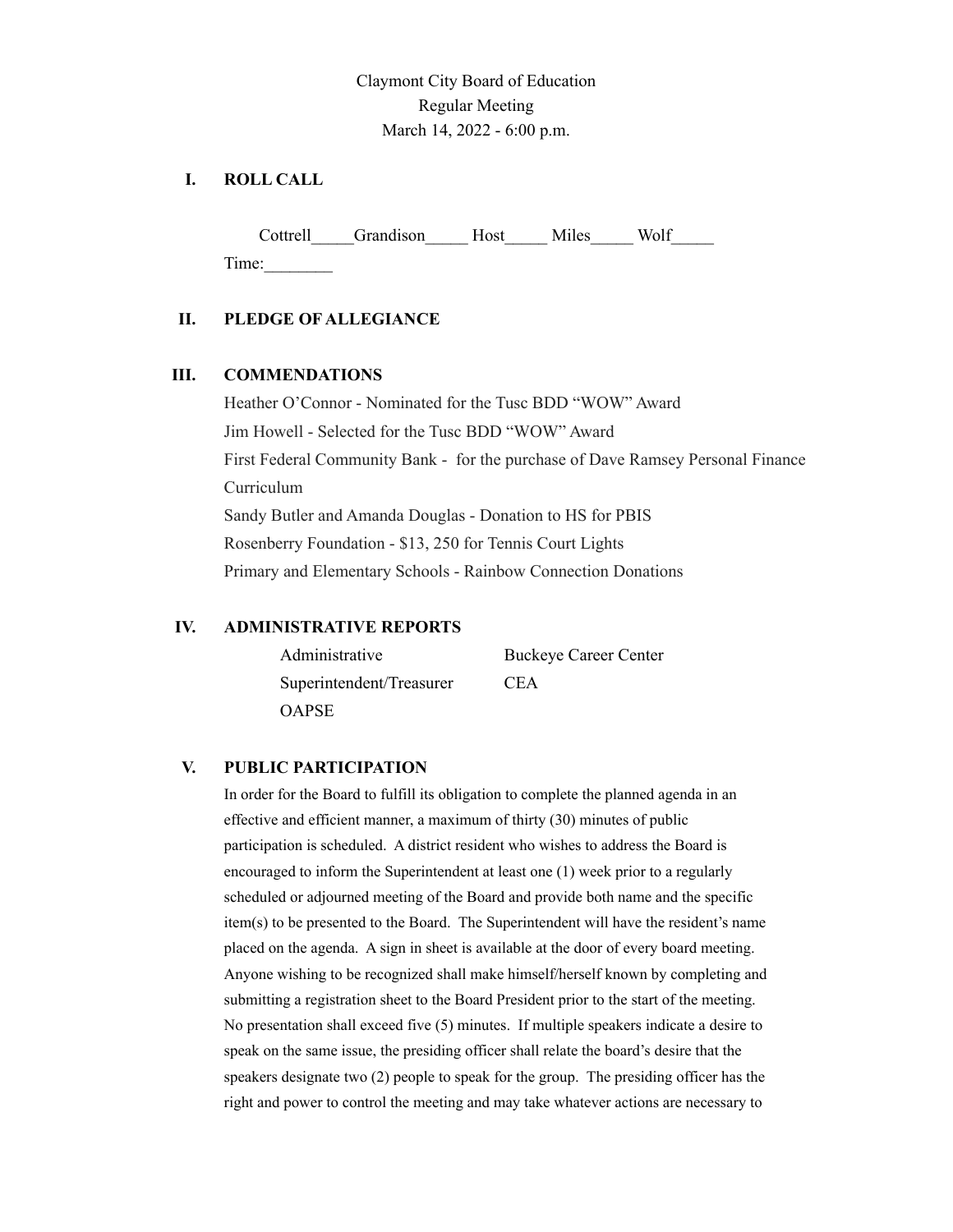Claymont City Board of Education Regular Meeting March 14, 2022 - 6:00 p.m.

## **I. ROLL CALL**

Cottrell Grandison Host Miles Wolf Time:\_\_\_\_\_\_\_\_

## **II. PLEDGE OF ALLEGIANCE**

## **III. COMMENDATIONS**

Heather O'Connor - Nominated for the Tusc BDD "WOW" Award Jim Howell - Selected for the Tusc BDD "WOW" Award First Federal Community Bank - for the purchase of Dave Ramsey Personal Finance Curriculum Sandy Butler and Amanda Douglas - Donation to HS for PBIS Rosenberry Foundation - \$13, 250 for Tennis Court Lights Primary and Elementary Schools - Rainbow Connection Donations

## **IV. ADMINISTRATIVE REPORTS**

| Administrative           | <b>Buckeye Career Center</b> |
|--------------------------|------------------------------|
| Superintendent/Treasurer | <b>CEA</b>                   |
| <b>OAPSE</b>             |                              |

#### **V. PUBLIC PARTICIPATION**

In order for the Board to fulfill its obligation to complete the planned agenda in an effective and efficient manner, a maximum of thirty (30) minutes of public participation is scheduled. A district resident who wishes to address the Board is encouraged to inform the Superintendent at least one (1) week prior to a regularly scheduled or adjourned meeting of the Board and provide both name and the specific item(s) to be presented to the Board. The Superintendent will have the resident's name placed on the agenda. A sign in sheet is available at the door of every board meeting. Anyone wishing to be recognized shall make himself/herself known by completing and submitting a registration sheet to the Board President prior to the start of the meeting. No presentation shall exceed five (5) minutes. If multiple speakers indicate a desire to speak on the same issue, the presiding officer shall relate the board's desire that the speakers designate two (2) people to speak for the group. The presiding officer has the right and power to control the meeting and may take whatever actions are necessary to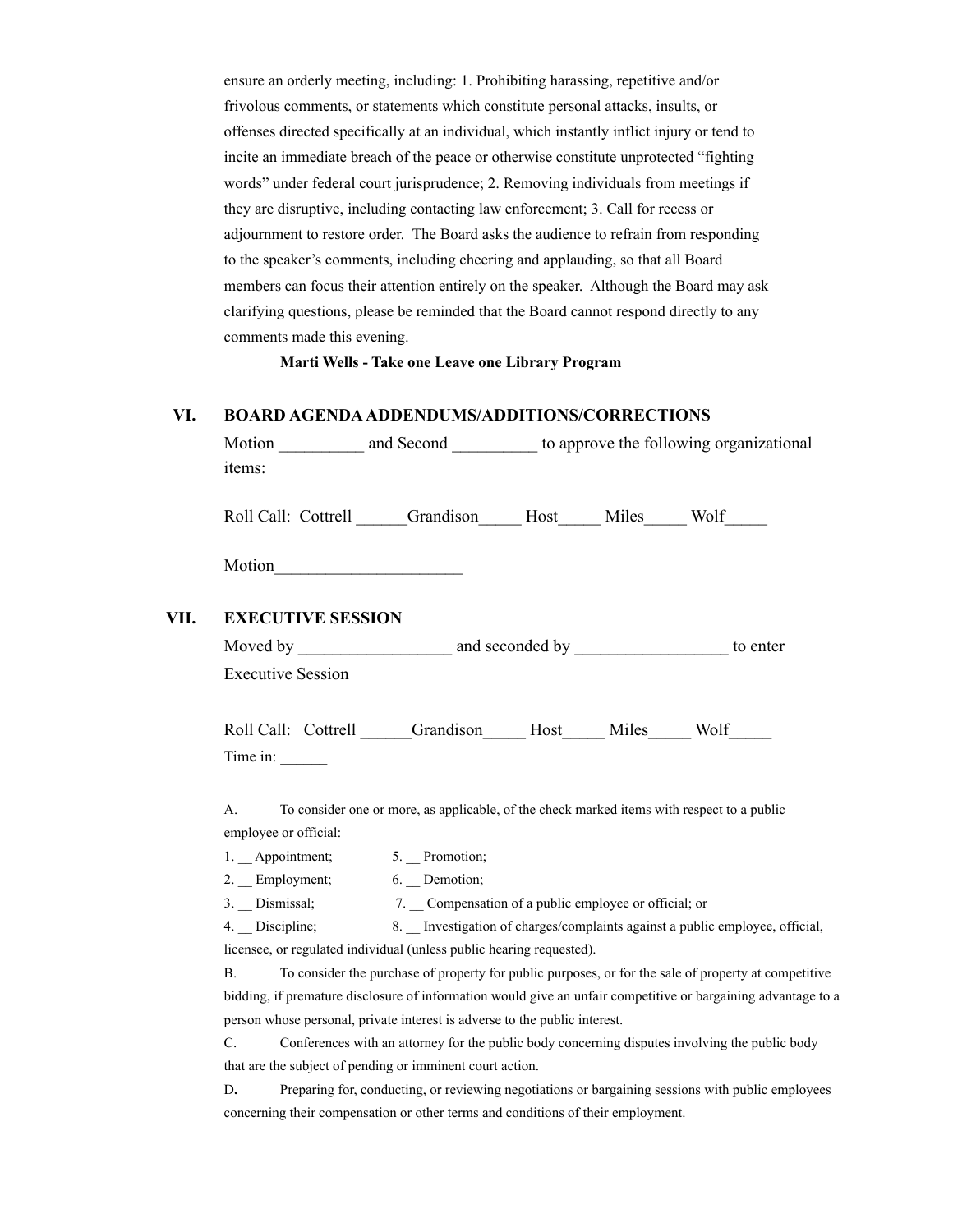ensure an orderly meeting, including: 1. Prohibiting harassing, repetitive and/or frivolous comments, or statements which constitute personal attacks, insults, or offenses directed specifically at an individual, which instantly inflict injury or tend to incite an immediate breach of the peace or otherwise constitute unprotected "fighting words" under federal court jurisprudence; 2. Removing individuals from meetings if they are disruptive, including contacting law enforcement; 3. Call for recess or adjournment to restore order. The Board asks the audience to refrain from responding to the speaker's comments, including cheering and applauding, so that all Board members can focus their attention entirely on the speaker. Although the Board may ask clarifying questions, please be reminded that the Board cannot respond directly to any comments made this evening.

**Marti Wells - Take one Leave one Library Program**

#### **VI. BOARD AGENDAADDENDUMS/ADDITIONS/CORRECTIONS**

| items:                        |                                                                                            | Motion ____________ and Second ____________ to approve the following organizational |  |                                                                             |
|-------------------------------|--------------------------------------------------------------------------------------------|-------------------------------------------------------------------------------------|--|-----------------------------------------------------------------------------|
|                               | Roll Call: Cottrell Grandison Host Miles Wolf                                              |                                                                                     |  |                                                                             |
|                               |                                                                                            |                                                                                     |  |                                                                             |
| <b>EXECUTIVE SESSION</b>      |                                                                                            |                                                                                     |  |                                                                             |
|                               |                                                                                            |                                                                                     |  |                                                                             |
| <b>Executive Session</b>      |                                                                                            |                                                                                     |  |                                                                             |
|                               |                                                                                            |                                                                                     |  |                                                                             |
|                               | Roll Call: Cottrell Canadison Host Miles Wolf                                              |                                                                                     |  |                                                                             |
| Time in:                      |                                                                                            |                                                                                     |  |                                                                             |
|                               |                                                                                            |                                                                                     |  |                                                                             |
| А.                            | To consider one or more, as applicable, of the check marked items with respect to a public |                                                                                     |  |                                                                             |
| employee or official:         |                                                                                            |                                                                                     |  |                                                                             |
| 1. Appointment; 5. Promotion; |                                                                                            |                                                                                     |  |                                                                             |
| 2. Employment; 6. Demotion;   |                                                                                            |                                                                                     |  |                                                                             |
|                               | 3. Dismissal; 7. Compensation of a public employee or official; or                         |                                                                                     |  |                                                                             |
| $4.$ Discipline;              |                                                                                            |                                                                                     |  | 8. Investigation of charges/complaints against a public employee, official, |

licensee, or regulated individual (unless public hearing requested).

 $VII.$ 

B. To consider the purchase of property for public purposes, or for the sale of property at competitive bidding, if premature disclosure of information would give an unfair competitive or bargaining advantage to a person whose personal, private interest is adverse to the public interest.

C. Conferences with an attorney for the public body concerning disputes involving the public body that are the subject of pending or imminent court action.

D. Preparing for, conducting, or reviewing negotiations or bargaining sessions with public employees concerning their compensation or other terms and conditions of their employment.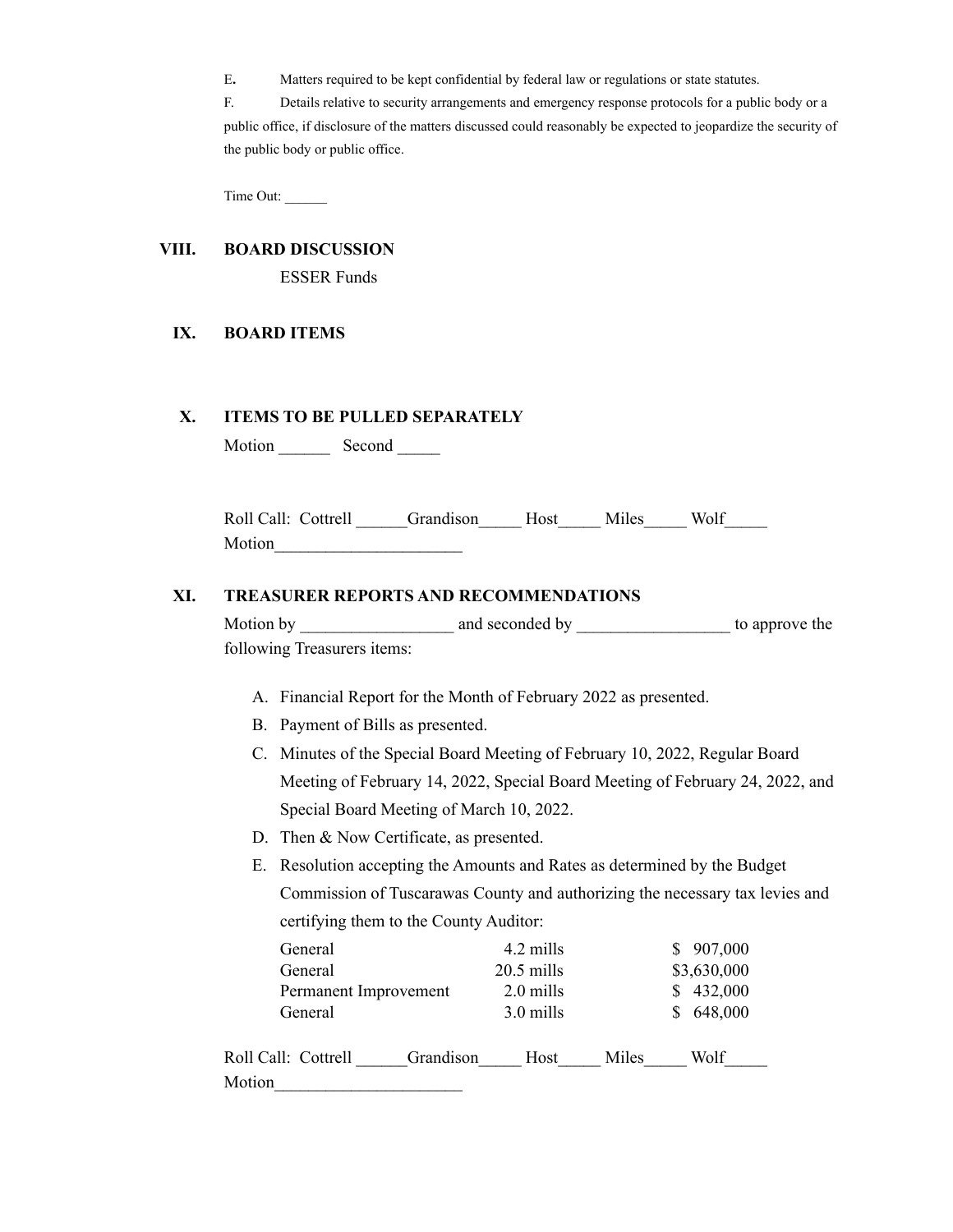E**.** Matters required to be kept confidential by federal law or regulations or state statutes.

F. Details relative to security arrangements and emergency response protocols for a public body or a public office, if disclosure of the matters discussed could reasonably be expected to jeopardize the security of the public body or public office.

Time Out: \_\_\_\_\_\_

## **VIII. BOARD DISCUSSION**

ESSER Funds

## **IX. BOARD ITEMS**

#### **X. ITEMS TO BE PULLED SEPARATELY**

Motion Second \_\_\_\_\_\_

| Roll Call: Cottrell | Grandison | Host | Miles | Wolf |  |
|---------------------|-----------|------|-------|------|--|
| Motion              |           |      |       |      |  |

### **XI. TREASURER REPORTS AND RECOMMENDATIONS**

| Motion by                   | and seconded by | to approve the |
|-----------------------------|-----------------|----------------|
| following Treasurers items: |                 |                |

- A. Financial Report for the Month of February 2022 as presented.
- B. Payment of Bills as presented.
- C. Minutes of the Special Board Meeting of February 10, 2022, Regular Board Meeting of February 14, 2022, Special Board Meeting of February 24, 2022, and Special Board Meeting of March 10, 2022.
- D. Then & Now Certificate, as presented.
- E. Resolution accepting the Amounts and Rates as determined by the Budget Commission of Tuscarawas County and authorizing the necessary tax levies and certifying them to the County Auditor:

| General                          | 4.2 mills    |       | 907,000     |
|----------------------------------|--------------|-------|-------------|
| General                          | $20.5$ mills |       | \$3,630,000 |
| Permanent Improvement            | 2.0 mills    |       | 432,000     |
| General                          | 3.0 mills    |       | 648,000     |
| Roll Call: Cottrell<br>Grandison | Host         | Miles | Wolf        |
| Motion                           |              |       |             |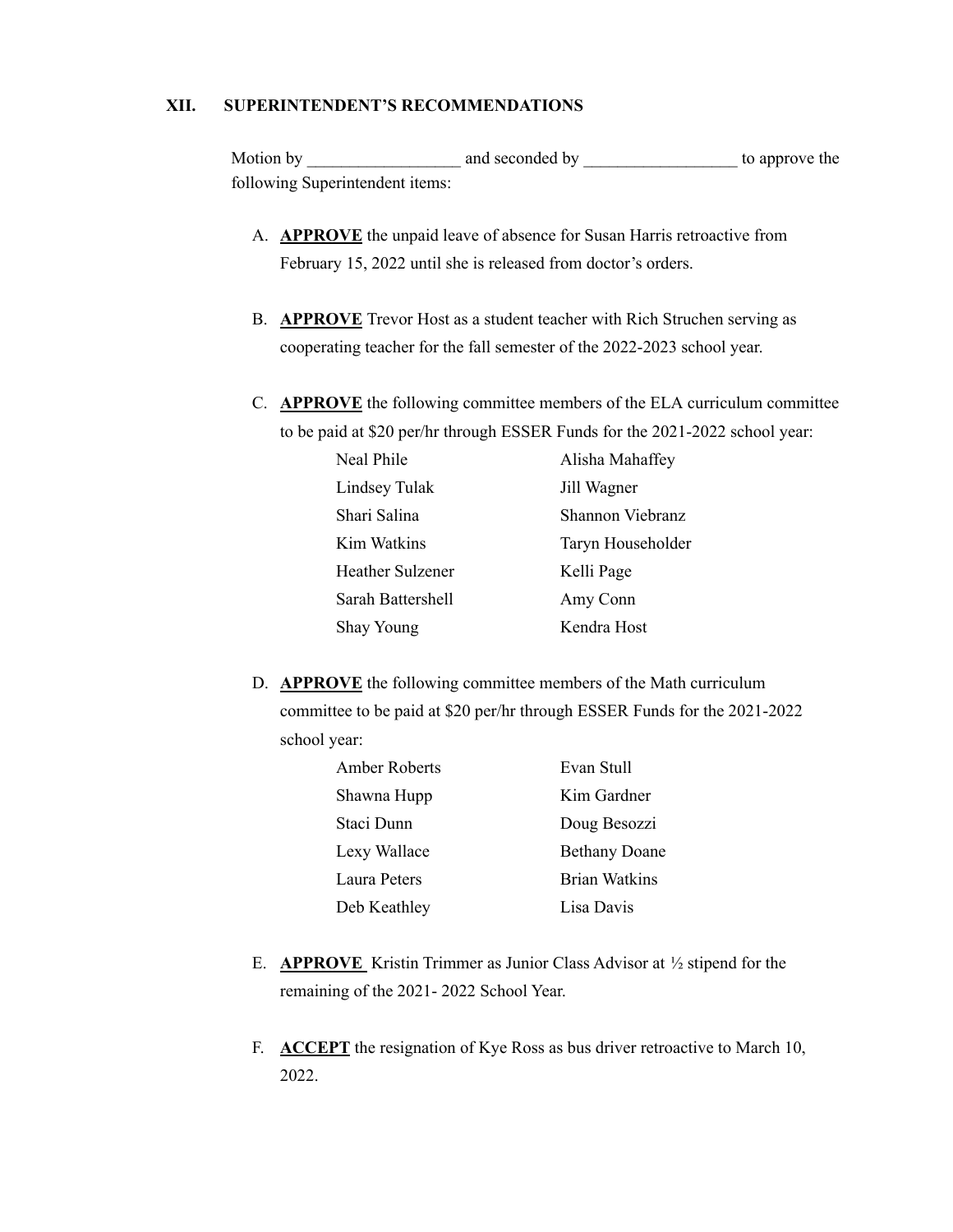## **XII. SUPERINTENDENT'S RECOMMENDATIONS**

Motion by **EXECUTE:** And seconded by **EXECUTE:** to approve the following Superintendent items:

- A. **APPROVE** the unpaid leave of absence for Susan Harris retroactive from February 15, 2022 until she is released from doctor's orders.
- B. **APPROVE** Trevor Host as a student teacher with Rich Struchen serving as cooperating teacher for the fall semester of the 2022-2023 school year.
- C. **APPROVE** the following committee members of the ELA curriculum committee to be paid at \$20 per/hr through ESSER Funds for the 2021-2022 school year:

| Neal Phile              | Alisha Mahaffey   |
|-------------------------|-------------------|
| Lindsey Tulak           | Jill Wagner       |
| Shari Salina            | Shannon Viebranz  |
| Kim Watkins             | Taryn Householder |
| <b>Heather Sulzener</b> | Kelli Page        |
| Sarah Battershell       | Amy Conn          |
| Shay Young              | Kendra Host       |

D. **APPROVE** the following committee members of the Math curriculum committee to be paid at \$20 per/hr through ESSER Funds for the 2021-2022 school year:

| <b>Amber Roberts</b> | Evan Stull           |
|----------------------|----------------------|
| Shawna Hupp          | Kim Gardner          |
| Staci Dunn           | Doug Besozzi         |
| Lexy Wallace         | <b>Bethany Doane</b> |
| Laura Peters         | <b>Brian Watkins</b> |
| Deb Keathley         | Lisa Davis           |

- E. **APPROVE** Kristin Trimmer as Junior Class Advisor at ½ stipend for the remaining of the 2021- 2022 School Year.
- F. **ACCEPT** the resignation of Kye Ross as bus driver retroactive to March 10, 2022.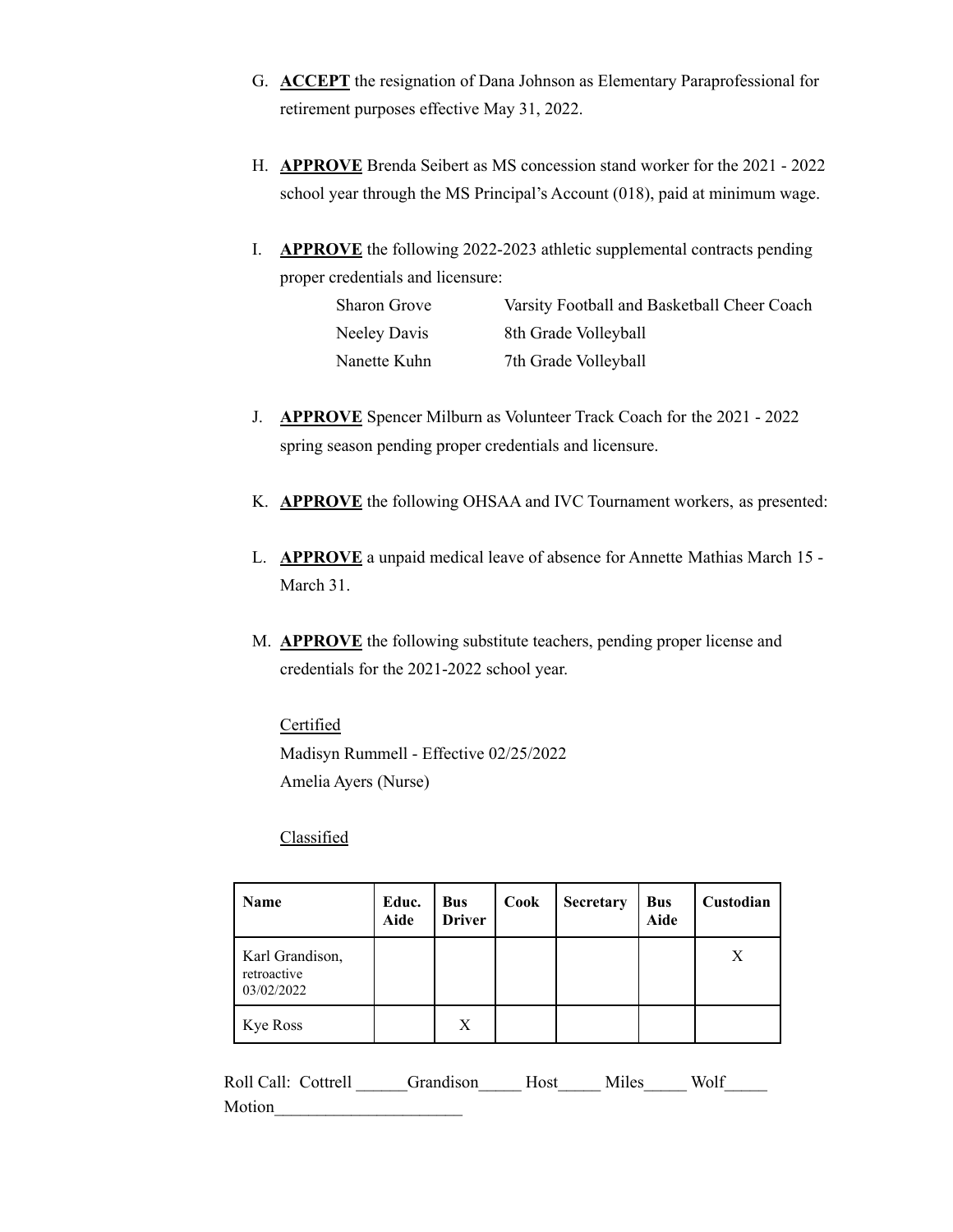- G. **ACCEPT** the resignation of Dana Johnson as Elementary Paraprofessional for retirement purposes effective May 31, 2022.
- H. **APPROVE** Brenda Seibert as MS concession stand worker for the 2021 2022 school year through the MS Principal's Account (018), paid at minimum wage.
- I. **APPROVE** the following 2022-2023 athletic supplemental contracts pending proper credentials and licensure:

| <b>Sharon Grove</b> | Varsity Football and Basketball Cheer Coach |
|---------------------|---------------------------------------------|
| Neeley Davis        | 8th Grade Volleyball                        |
| Nanette Kuhn        | 7th Grade Volleyball                        |

- J. **APPROVE** Spencer Milburn as Volunteer Track Coach for the 2021 2022 spring season pending proper credentials and licensure.
- K. **APPROVE** the following OHSAA and IVC Tournament workers, as presented:
- L. **APPROVE** a unpaid medical leave of absence for Annette Mathias March 15 March 31.
- M. **APPROVE** the following substitute teachers, pending proper license and credentials for the 2021-2022 school year.

# **Certified** Madisyn Rummell - Effective 02/25/2022 Amelia Ayers (Nurse)

# **Classified**

| <b>Name</b>                                  | Educ.<br>Aide | <b>Bus</b><br><b>Driver</b> | Cook | Secretary | <b>Bus</b><br><b>Aide</b> | Custodian |
|----------------------------------------------|---------------|-----------------------------|------|-----------|---------------------------|-----------|
| Karl Grandison,<br>retroactive<br>03/02/2022 |               |                             |      |           |                           | Χ         |
| <b>Kye Ross</b>                              |               | X                           |      |           |                           |           |

| Roll Call: Cottrell | Grandison | Host Miles | Wolf |  |
|---------------------|-----------|------------|------|--|
| Motion              |           |            |      |  |